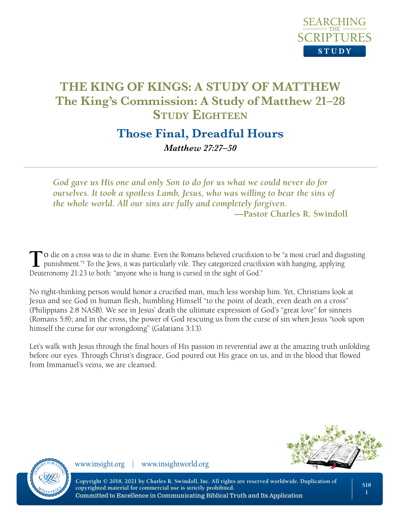

## **Those Final, Dreadful Hours** *Matthew 27:27–50*

*God gave us His one and only Son to do for us what we could never do for ourselves. It took a spotless Lamb, Jesus, who was willing to bear the sins of the whole world. All our sins are fully and completely forgiven.* **—Pastor Charles R. Swindoll**

**T**o die on a cross was to die in shame. Even the Romans believed crucifixion to be "a most cruel and disgusting punishment."<sup>1</sup> To the Jews, it was particularly vile. They categorized crucifixion with hanging, applying Du Deuteronomy 21:23 to both: "anyone who is hung is cursed in the sight of God."

No right-thinking person would honor a crucified man, much less worship him. Yet, Christians look at Jesus and see God in human flesh, humbling Himself "to the point of death, even death on a cross" (Philippians 2:8 NASB). We see in Jesus' death the ultimate expression of God's "great love" for sinners (Romans 5:8); and in the cross, the power of God rescuing us from the curse of sin when Jesus "took upon himself the curse for our wrongdoing" (Galatians 3:13).

Let's walk with Jesus through the final hours of His passion in reverential awe at the amazing truth unfolding before our eyes. Through Christ's disgrace, God poured out His grace on us, and in the blood that flowed from Immanuel's veins, we are cleansed.



www.insight.org | www.insightworld.org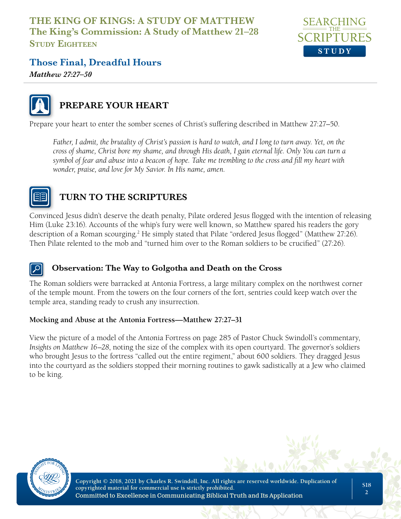

## **Those Final, Dreadful Hours**

*Matthew 27:27–50*



## **PREPARE YOUR HEART**

Prepare your heart to enter the somber scenes of Christ's suffering described in Matthew 27:27–50.

*Father, I admit, the brutality of Christ's passion is hard to watch, and I long to turn away. Yet, on the cross of shame, Christ bore my shame, and through His death, I gain eternal life. Only You can turn a symbol of fear and abuse into a beacon of hope. Take me trembling to the cross and fill my heart with wonder, praise, and love for My Savior. In His name, amen.*



## **TURN TO THE SCRIPTURES**

Convinced Jesus didn't deserve the death penalty, Pilate ordered Jesus flogged with the intention of releasing Him (Luke 23:16). Accounts of the whip's fury were well known, so Matthew spared his readers the gory description of a Roman scourging.<sup>2</sup> He simply stated that Pilate "ordered Jesus flogged" (Matthew 27:26). Then Pilate relented to the mob and "turned him over to the Roman soldiers to be crucified" (27:26).

#### **Observation: The Way to Golgotha and Death on the Cross**

The Roman soldiers were barracked at Antonia Fortress, a large military complex on the northwest corner of the temple mount. From the towers on the four corners of the fort, sentries could keep watch over the temple area, standing ready to crush any insurrection.

#### **Mocking and Abuse at the Antonia Fortress—Matthew 27:27–31**

View the picture of a model of the Antonia Fortress on page 285 of Pastor Chuck Swindoll's commentary, *Insights on Matthew 16–28*, noting the size of the complex with its open courtyard. The governor's soldiers who brought Jesus to the fortress "called out the entire regiment," about 600 soldiers. They dragged Jesus into the courtyard as the soldiers stopped their morning routines to gawk sadistically at a Jew who claimed to be king.

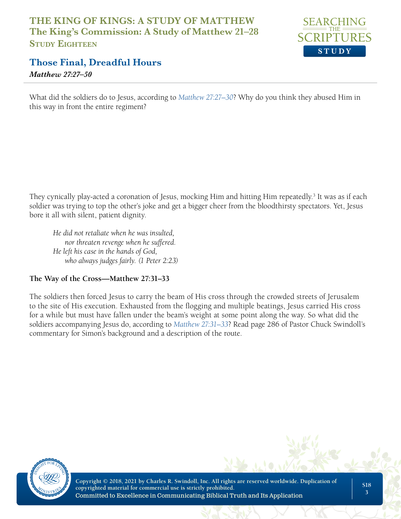

## **Those Final, Dreadful Hours**

*Matthew 27:27–50*

What did the soldiers do to Jesus, according to *Matthew 27:27–30*? Why do you think they abused Him in this way in front the entire regiment?

They cynically play-acted a coronation of Jesus, mocking Him and hitting Him repeatedly.<sup>3</sup> It was as if each soldier was trying to top the other's joke and get a bigger cheer from the bloodthirsty spectators. Yet, Jesus bore it all with silent, patient dignity.

*He did not retaliate when he was insulted, nor threaten revenge when he suffered. He left his case in the hands of God, who always judges fairly. (1 Peter 2:23)* 

#### **The Way of the Cross—Matthew 27:31–33**

The soldiers then forced Jesus to carry the beam of His cross through the crowded streets of Jerusalem to the site of His execution. Exhausted from the flogging and multiple beatings, Jesus carried His cross for a while but must have fallen under the beam's weight at some point along the way. So what did the soldiers accompanying Jesus do, according to *Matthew 27:31–33*? Read page 286 of Pastor Chuck Swindoll's commentary for Simon's background and a description of the route.

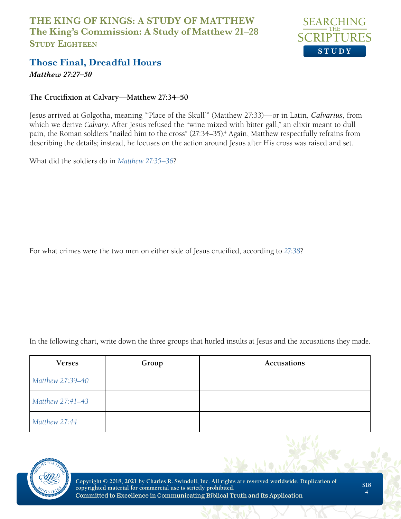

## **Those Final, Dreadful Hours**

*Matthew 27:27–50*

#### **The Crucifixion at Calvary—Matthew 27:34–50**

Jesus arrived at Golgotha, meaning "'Place of the Skull'" (Matthew 27:33)—or in Latin, *Calvarius*, from which we derive *Calvary*. After Jesus refused the "wine mixed with bitter gall," an elixir meant to dull pain, the Roman soldiers "nailed him to the cross" (27:34–35).<sup>4</sup> Again, Matthew respectfully refrains from describing the details; instead, he focuses on the action around Jesus after His cross was raised and set.

What did the soldiers do in *Matthew 27:35–36*?

For what crimes were the two men on either side of Jesus crucified, according to *27:38*?

In the following chart, write down the three groups that hurled insults at Jesus and the accusations they made.

| <b>Verses</b>    | Group | Accusations |
|------------------|-------|-------------|
| Matthew 27:39-40 |       |             |
| Matthew 27:41-43 |       |             |
| Matthew 27:44    |       |             |

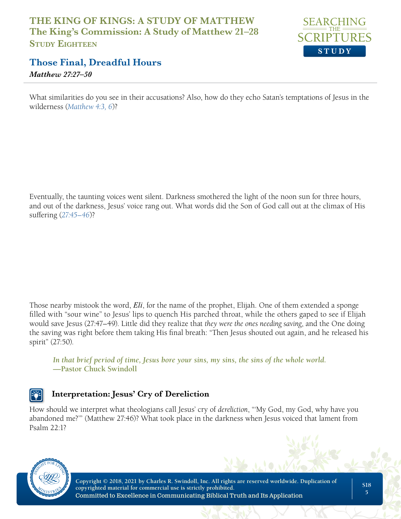

## **Those Final, Dreadful Hours**

*Matthew 27:27–50*

What similarities do you see in their accusations? Also, how do they echo Satan's temptations of Jesus in the wilderness (*Matthew 4:3, 6*)?

Eventually, the taunting voices went silent. Darkness smothered the light of the noon sun for three hours, and out of the darkness, Jesus' voice rang out. What words did the Son of God call out at the climax of His suffering (*27:45–46*)?

Those nearby mistook the word, *Eli*, for the name of the prophet, Elijah. One of them extended a sponge filled with "sour wine" to Jesus' lips to quench His parched throat, while the others gaped to see if Elijah would save Jesus (27:47–49). Little did they realize that *they were the ones needing saving*, and the One doing the saving was right before them taking His final breath: "Then Jesus shouted out again, and he released his spirit" (27:50).

*In that brief period of time, Jesus bore your sins, my sins, the sins of the whole world.*  **—Pastor Chuck Swindoll**

### **Interpretation: Jesus' Cry of Dereliction**

How should we interpret what theologians call Jesus' cry of *dereliction*, "'My God, my God, why have you abandoned me?'" (Matthew 27:46)? What took place in the darkness when Jesus voiced that lament from Psalm  $22 \cdot 12$ 

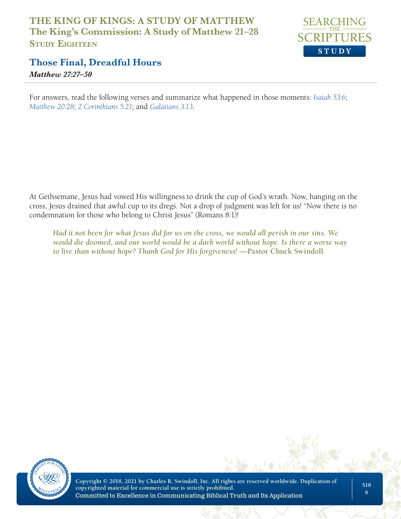

## **Those Final, Dreadful Hours**

*Matthew 27:27–50*

For answers, read the following verses and summarize what happened in those moments: *Isaiah 53:6*; *Matthew 20:28*; *2 Corinthians 5:21*; and *Galatians 3:13*.

At Gethsemane, Jesus had vowed His willingness to drink the cup of God's wrath. Now, hanging on the cross, Jesus drained that awful cup to its dregs. Not a drop of judgment was left for us! "Now there is no condemnation for those who belong to Christ Jesus" (Romans 8:1)!

*Had it not been for what Jesus did for us on the cross, we would all perish in our sins. We would die doomed, and our world would be a dark world without hope. Is there a worse way to live than without hope? Thank God for His forgiveness!* **—Pastor Chuck Swindoll**

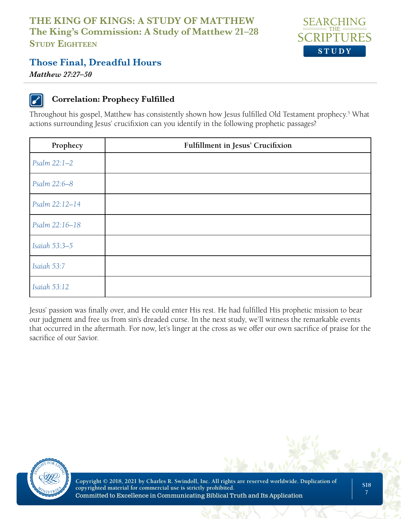

## **Those Final, Dreadful Hours**

*Matthew 27:27–50*

### **Correlation: Prophecy Fulfilled**

Throughout his gospel, Matthew has consistently shown how Jesus fulfilled Old Testament prophecy.<sup>5</sup> What actions surrounding Jesus' crucifixion can you identify in the following prophetic passages?

| Prophecy       | <b>Fulfillment in Jesus' Crucifixion</b> |  |
|----------------|------------------------------------------|--|
| Psalm 22:1-2   |                                          |  |
| Psalm 22:6-8   |                                          |  |
| Psalm 22:12-14 |                                          |  |
| Psalm 22:16-18 |                                          |  |
| Isaiah 53:3-5  |                                          |  |
| Isaiah 53:7    |                                          |  |
| Isaiah 53:12   |                                          |  |

Jesus' passion was finally over, and He could enter His rest. He had fulfilled His prophetic mission to bear our judgment and free us from sin's dreaded curse. In the next study, we'll witness the remarkable events that occurred in the aftermath. For now, let's linger at the cross as we offer our own sacrifice of praise for the sacrifice of our Savior.